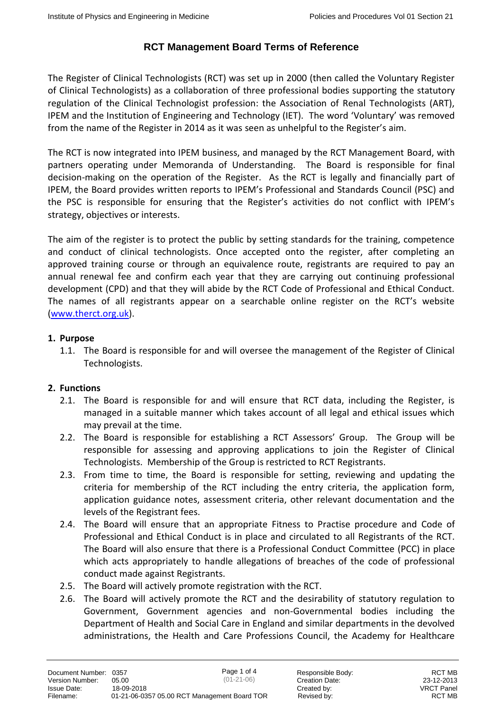The Register of Clinical Technologists (RCT) was set up in 2000 (then called the Voluntary Register of Clinical Technologists) as a collaboration of three professional bodies supporting the statutory regulation of the Clinical Technologist profession: the Association of Renal Technologists (ART), IPEM and the Institution of Engineering and Technology (IET). The word 'Voluntary' was removed from the name of the Register in 2014 as it was seen as unhelpful to the Register's aim.

The RCT is now integrated into IPEM business, and managed by the RCT Management Board, with partners operating under Memoranda of Understanding. The Board is responsible for final decision-making on the operation of the Register. As the RCT is legally and financially part of IPEM, the Board provides written reports to IPEM's Professional and Standards Council (PSC) and the PSC is responsible for ensuring that the Register's activities do not conflict with IPEM's strategy, objectives or interests.

The aim of the register is to protect the public by setting standards for the training, competence and conduct of clinical technologists. Once accepted onto the register, after completing an approved training course or through an equivalence route, registrants are required to pay an annual renewal fee and confirm each year that they are carrying out continuing professional development (CPD) and that they will abide by the RCT Code of Professional and Ethical Conduct. The names of all registrants appear on a searchable online register on the RCT's website [\(www.therct.org.uk\)](http://www.therct.org.uk/).

#### **1. Purpose**

1.1. The Board is responsible for and will oversee the management of the Register of Clinical Technologists.

### **2. Functions**

- 2.1. The Board is responsible for and will ensure that RCT data, including the Register, is managed in a suitable manner which takes account of all legal and ethical issues which may prevail at the time.
- 2.2. The Board is responsible for establishing a RCT Assessors' Group. The Group will be responsible for assessing and approving applications to join the Register of Clinical Technologists. Membership of the Group is restricted to RCT Registrants.
- 2.3. From time to time, the Board is responsible for setting, reviewing and updating the criteria for membership of the RCT including the entry criteria, the application form, application guidance notes, assessment criteria, other relevant documentation and the levels of the Registrant fees.
- 2.4. The Board will ensure that an appropriate Fitness to Practise procedure and Code of Professional and Ethical Conduct is in place and circulated to all Registrants of the RCT. The Board will also ensure that there is a Professional Conduct Committee (PCC) in place which acts appropriately to handle allegations of breaches of the code of professional conduct made against Registrants.
- 2.5. The Board will actively promote registration with the RCT.
- 2.6. The Board will actively promote the RCT and the desirability of statutory regulation to Government, Government agencies and non-Governmental bodies including the Department of Health and Social Care in England and similar departments in the devolved administrations, the Health and Care Professions Council, the Academy for Healthcare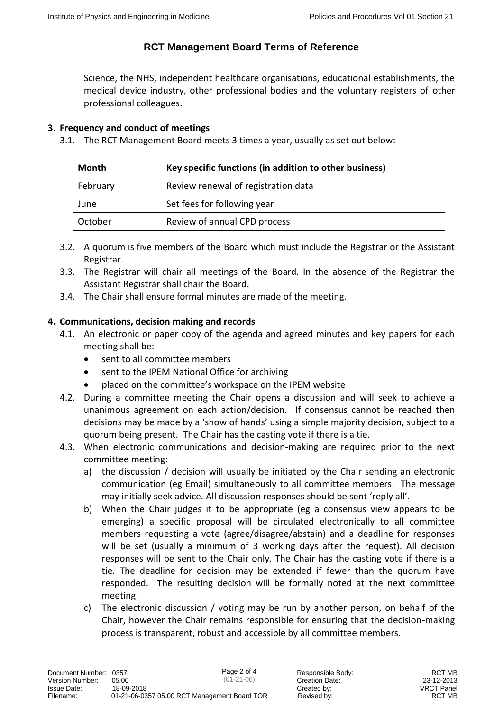Science, the NHS, independent healthcare organisations, educational establishments, the medical device industry, other professional bodies and the voluntary registers of other professional colleagues.

#### **3. Frequency and conduct of meetings**

3.1. The RCT Management Board meets 3 times a year, usually as set out below:

| Month    | Key specific functions (in addition to other business) |
|----------|--------------------------------------------------------|
| February | Review renewal of registration data                    |
| June     | Set fees for following year                            |
| October  | Review of annual CPD process                           |

- 3.2. A quorum is five members of the Board which must include the Registrar or the Assistant Registrar.
- 3.3. The Registrar will chair all meetings of the Board. In the absence of the Registrar the Assistant Registrar shall chair the Board.
- 3.4. The Chair shall ensure formal minutes are made of the meeting.

#### **4. Communications, decision making and records**

- 4.1. An electronic or paper copy of the agenda and agreed minutes and key papers for each meeting shall be:
	- sent to all committee members
	- sent to the IPEM National Office for archiving
	- placed on the committee's workspace on the IPEM website
- 4.2. During a committee meeting the Chair opens a discussion and will seek to achieve a unanimous agreement on each action/decision. If consensus cannot be reached then decisions may be made by a 'show of hands' using a simple majority decision, subject to a quorum being present. The Chair has the casting vote if there is a tie.
- 4.3. When electronic communications and decision-making are required prior to the next committee meeting:
	- a) the discussion / decision will usually be initiated by the Chair sending an electronic communication (eg Email) simultaneously to all committee members. The message may initially seek advice. All discussion responses should be sent 'reply all'.
	- b) When the Chair judges it to be appropriate (eg a consensus view appears to be emerging) a specific proposal will be circulated electronically to all committee members requesting a vote (agree/disagree/abstain) and a deadline for responses will be set (usually a minimum of 3 working days after the request). All decision responses will be sent to the Chair only. The Chair has the casting vote if there is a tie. The deadline for decision may be extended if fewer than the quorum have responded. The resulting decision will be formally noted at the next committee meeting.
	- c) The electronic discussion / voting may be run by another person, on behalf of the Chair, however the Chair remains responsible for ensuring that the decision-making process is transparent, robust and accessible by all committee members.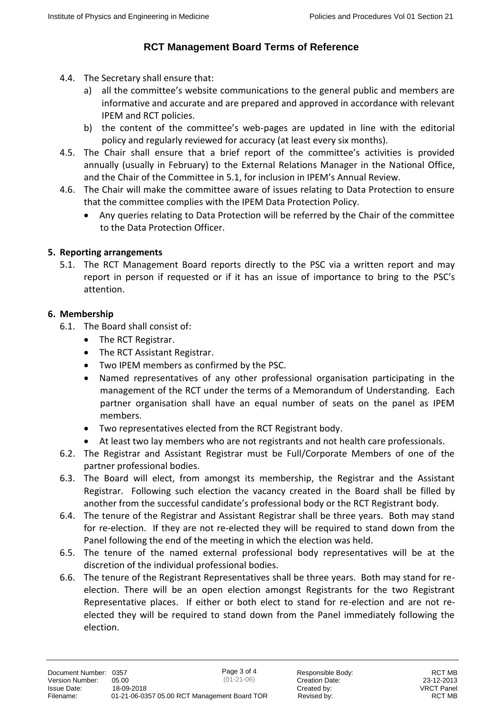- 4.4. The Secretary shall ensure that:
	- a) all the committee's website communications to the general public and members are informative and accurate and are prepared and approved in accordance with relevant IPEM and RCT policies.
	- b) the content of the committee's web-pages are updated in line with the editorial policy and regularly reviewed for accuracy (at least every six months).
- 4.5. The Chair shall ensure that a brief report of the committee's activities is provided annually (usually in February) to the External Relations Manager in the National Office, and the Chair of the Committee in 5.1, for inclusion in IPEM's Annual Review.
- 4.6. The Chair will make the committee aware of issues relating to Data Protection to ensure that the committee complies with the IPEM Data Protection Policy.
	- Any queries relating to Data Protection will be referred by the Chair of the committee to the Data Protection Officer.

## **5. Reporting arrangements**

5.1. The RCT Management Board reports directly to the PSC via a written report and may report in person if requested or if it has an issue of importance to bring to the PSC's attention.

## **6. Membership**

- 6.1. The Board shall consist of:
	- The RCT Registrar.
	- The RCT Assistant Registrar.
	- Two IPEM members as confirmed by the PSC.
	- Named representatives of any other professional organisation participating in the management of the RCT under the terms of a Memorandum of Understanding. Each partner organisation shall have an equal number of seats on the panel as IPEM members.
	- Two representatives elected from the RCT Registrant body.
	- At least two lay members who are not registrants and not health care professionals.
- 6.2. The Registrar and Assistant Registrar must be Full/Corporate Members of one of the partner professional bodies.
- 6.3. The Board will elect, from amongst its membership, the Registrar and the Assistant Registrar. Following such election the vacancy created in the Board shall be filled by another from the successful candidate's professional body or the RCT Registrant body.
- 6.4. The tenure of the Registrar and Assistant Registrar shall be three years. Both may stand for re-election. If they are not re-elected they will be required to stand down from the Panel following the end of the meeting in which the election was held.
- 6.5. The tenure of the named external professional body representatives will be at the discretion of the individual professional bodies.
- 6.6. The tenure of the Registrant Representatives shall be three years. Both may stand for reelection. There will be an open election amongst Registrants for the two Registrant Representative places. If either or both elect to stand for re-election and are not reelected they will be required to stand down from the Panel immediately following the election.